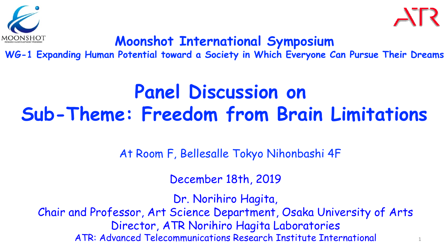



1

### **Moonshot International Symposium**

**WG-1 Expanding Human Potential toward a Society in Which Everyone Can Pursue Their Dreams**

### **Panel Discussion on Sub-Theme: Freedom from Brain Limitations**

At Room F, Bellesalle Tokyo Nihonbashi 4F

December 18th, 2019

Dr. Norihiro Hagita,

Chair and Professor, Art Science Department, Osaka University of Arts Director, ATR Norihiro Hagita Laboratories ATR: Advanced Telecommunications Research Institute International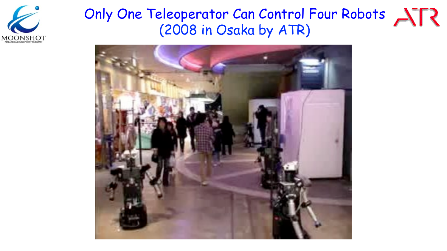

### Only One Teleoperator Can Control Four Robots (2008 in Osaka by ATR)

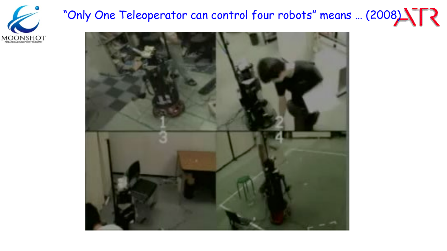

# "Only One Teleoperator can control four robots" means ... (2008) STR

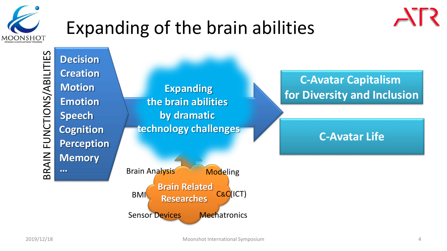

## Expanding of the brain abilities



Sensor Devices Mechatronics

 $\triangle$ R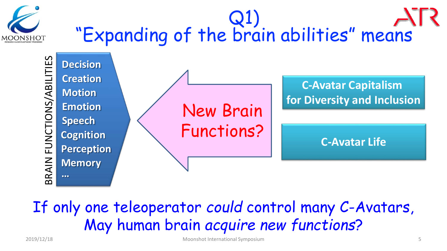

# Q1) "Expanding of the brain abilities" means



### If only one teleoperator *could* control many C-Avatars, May human brain *acquire new functions*?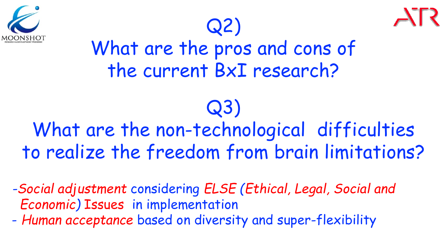



## What are the pros and cons of the current BxI research?

Q2)

### Q3) What are the non-technological difficulties to realize the freedom from brain limitations?

*-Social adjustment* considering *ELSE (Ethical, Legal, Social and Economic)* Issues in implementation

- *Human acceptance* based on diversity and super-flexibility